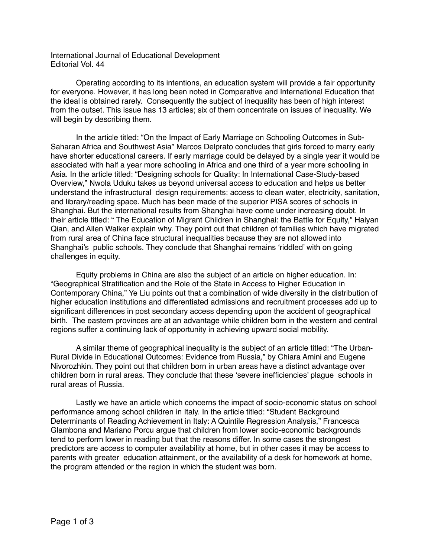International Journal of Educational Development Editorial Vol. 44

Operating according to its intentions, an education system will provide a fair opportunity for everyone. However, it has long been noted in Comparative and International Education that the ideal is obtained rarely. Consequently the subject of inequality has been of high interest from the outset. This issue has 13 articles; six of them concentrate on issues of inequality. We will begin by describing them.

In the article titled: "On the Impact of Early Marriage on Schooling Outcomes in Sub-Saharan Africa and Southwest Asia" Marcos Delprato concludes that girls forced to marry early have shorter educational careers. If early marriage could be delayed by a single year it would be associated with half a year more schooling in Africa and one third of a year more schooling in Asia. In the article titled: "Designing schools for Quality: In International Case-Study-based Overview," Nwola Uduku takes us beyond universal access to education and helps us better understand the infrastructural design requirements: access to clean water, electricity, sanitation, and library/reading space. Much has been made of the superior PISA scores of schools in Shanghai. But the international results from Shanghai have come under increasing doubt. In their article titled: " The Education of Migrant Children in Shanghai: the Battle for Equity," Haiyan Qian, and Allen Walker explain why. They point out that children of families which have migrated from rural area of China face structural inequalities because they are not allowed into Shanghai's public schools. They conclude that Shanghai remains 'riddled' with on going challenges in equity.

Equity problems in China are also the subject of an article on higher education. In: "Geographical Stratification and the Role of the State in Access to Higher Education in Contemporary China," Ye Liu points out that a combination of wide diversity in the distribution of higher education institutions and differentiated admissions and recruitment processes add up to significant differences in post secondary access depending upon the accident of geographical birth. The eastern provinces are at an advantage while children born in the western and central regions suffer a continuing lack of opportunity in achieving upward social mobility.

A similar theme of geographical inequality is the subject of an article titled: "The Urban-Rural Divide in Educational Outcomes: Evidence from Russia," by Chiara Amini and Eugene Nivorozhkin. They point out that children born in urban areas have a distinct advantage over children born in rural areas. They conclude that these 'severe inefficiencies' plague schools in rural areas of Russia.

Lastly we have an article which concerns the impact of socio-economic status on school performance among school children in Italy. In the article titled: "Student Background Determinants of Reading Achievement in Italy: A Quintile Regression Analysis," Francesca Glambona and Mariano Porcu argue that children from lower socio-economic backgrounds tend to perform lower in reading but that the reasons differ. In some cases the strongest predictors are access to computer availability at home, but in other cases it may be access to parents with greater education attainment, or the availability of a desk for homework at home, the program attended or the region in which the student was born.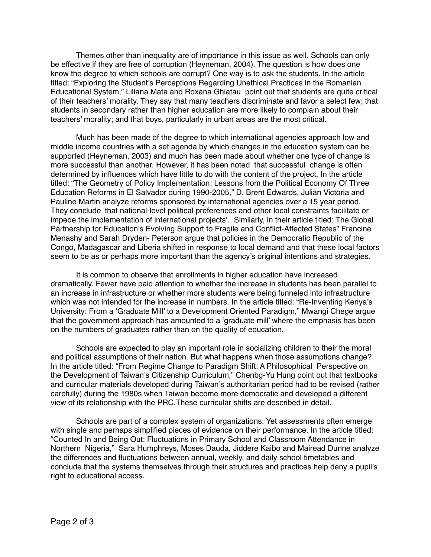Themes other than inequality are of importance in this issue as well. Schools can only be effective if they are free of corruption (Heyneman, 2004). The question is how does one know the degree to which schools are corrupt? One way is to ask the students. In the article titled: "Exploring the Student's Perceptions Regarding Unethical Practices in the Romanian Educational System," Liliana Mata and Roxana Ghiatau point out that students are quite critical of their teachers' morality. They say that many teachers discriminate and favor a select few; that students in secondary rather than higher education are more likely to complain about their teachers' morality; and that boys, particularly in urban areas are the most critical.

Much has been made of the degree to which international agencies approach low and middle income countries with a set agenda by which changes in the education system can be supported (Heyneman, 2003) and much has been made about whether one type of change is more successful than another. However, it has been noted that successful change is often determined by influences which have little to do with the content of the project. In the article titled: "The Geometry of Policy Implementation: Lessons from the Political Economy Of Three Education Reforms in El Salvador during 1990-2005," D. Brent Edwards, Julian Victoria and Pauline Martin analyze reforms sponsored by international agencies over a 15 year period. They conclude 'that national-level political preferences and other local constraints facilitate or impede the implementation of international projects'. Similarly, in their article titled: The Global Partnership for Education's Evolving Support to Fragile and Conflict-Affected States" Francine Menashy and Sarah Dryden- Peterson argue that policies in the Democratic Republic of the Congo, Madagascar and Liberia shifted in response to local demand and that these local factors seem to be as or perhaps more important than the agency's original intentions and strategies.

It is common to observe that enrollments in higher education have increased dramatically. Fewer have paid attention to whether the increase in students has been parallel to an increase in infrastructure or whether more students were being funneled into infrastructure which was not intended for the increase in numbers. In the article titled: "Re-Inventing Kenya's University: From a 'Graduate Mill' to a Development Oriented Paradigm," Mwangi Chege argue that the government approach has amounted to a 'graduate mill' where the emphasis has been on the numbers of graduates rather than on the quality of education.

Schools are expected to play an important role in socializing children to their the moral and political assumptions of their nation. But what happens when those assumptions change? In the article titled: "From Regime Change to Paradigm Shift: A Philosophical Perspective on the Development of Taiwan's Citizenship Curriculum," Chenbg-Yu Hung point out that textbooks and curricular materials developed during Taiwan's authoritarian period had to be revised (rather carefully) during the 1980s when Taiwan become more democratic and developed a different view of its relationship with the PRC.These curricular shifts are described in detail.

Schools are part of a complex system of organizations. Yet assessments often emerge with single and perhaps simplified pieces of evidence on their performance. In the article titled: "Counted In and Being Out: Fluctuations in Primary School and Classroom Attendance in Northern Nigeria," Sara Humphreys, Moses Dauda, Jiddere Kaibo and Mairead Dunne analyze the differences and fluctuations between annual, weekly, and daily school timetables and conclude that the systems themselves through their structures and practices help deny a pupil's right to educational access.